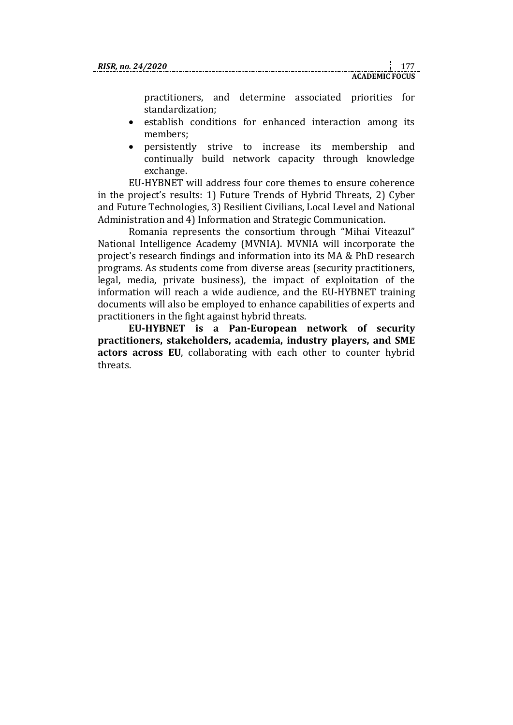practitioners, and determine associated priorities for standardization;

- establish conditions for enhanced interaction among its members;
- persistently strive to increase its membership and continually build network capacity through knowledge exchange.

EU-HYBNET will address four core themes to ensure coherence in the project's results: 1) Future Trends of Hybrid Threats, 2) Cyber and Future Technologies, 3) Resilient Civilians, Local Level and National Administration and 4) Information and Strategic Communication.

Romania represents the consortium through "Mihai Viteazul" National Intelligence Academy (MVNIA). MVNIA will incorporate the project's research findings and information into its MA & PhD research programs. As students come from diverse areas (security practitioners, legal, media, private business), the impact of exploitation of the information will reach a wide audience, and the EU-HYBNET training documents will also be employed to enhance capabilities of experts and practitioners in the fight against hybrid threats.

**EU-HYBNET is a Pan-European network of security practitioners, stakeholders, academia, industry players, and SME actors across EU**, collaborating with each other to counter hybrid threats.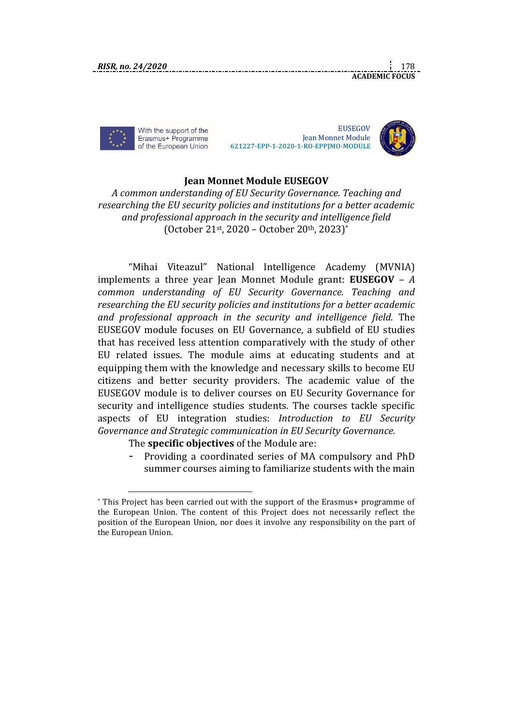With the support of the Erasmus+ Programme of the European Union

**EUSEGOV**  Jean Monnet Module  **621227-EPP-1-2020-1-RO-EPPJMO-MODULE**



**ACADEMIC FOCUS** 

## **Jean Monnet Module EUSEGOV**

*A common understanding of EU Security Governance. Teaching and researching the EU security policies and institutions for a better academic and professional approach in the security and intelligence field*  (October 21st, 2020 – October 20th, 2023)\*

"Mihai Viteazul" National Intelligence Academy (MVNIA) implements a three year Jean Monnet Module grant: **EUSEGOV** – *A common understanding of EU Security Governance. Teaching and researching the EU security policies and institutions for a better academic and professional approach in the security and intelligence field*. The EUSEGOV module focuses on EU Governance, a subfield of EU studies that has received less attention comparatively with the study of other EU related issues. The module aims at educating students and at equipping them with the knowledge and necessary skills to become EU citizens and better security providers. The academic value of the EUSEGOV module is to deliver courses on EU Security Governance for security and intelligence studies students. The courses tackle specific aspects of EU integration studies: *Introduction to EU Security Governance and Strategic communication in EU Security Governance.*

The **specific objectives** of the Module are:

- Providing a coordinated series of MA compulsory and PhD summer courses aiming to familiarize students with the main

<sup>\*</sup> This Project has been carried out with the support of the Erasmus+ programme of the European Union. The content of this Project does not necessarily reflect the position of the European Union, nor does it involve any responsibility on the part of the European Union.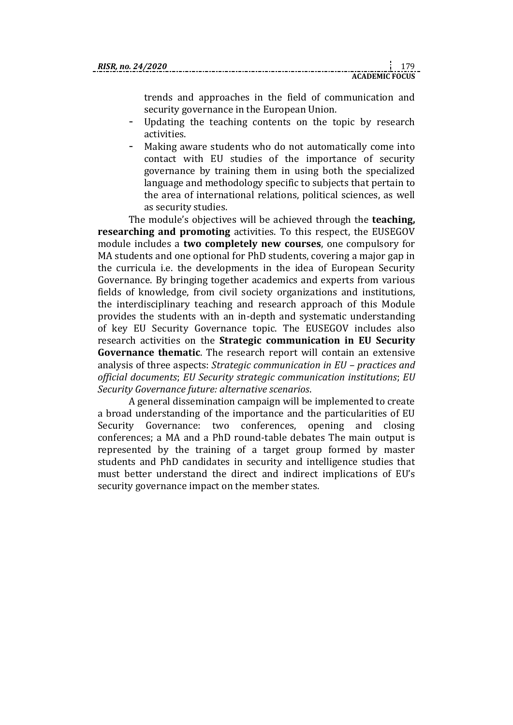trends and approaches in the field of communication and security governance in the European Union.

- Updating the teaching contents on the topic by research activities.
- Making aware students who do not automatically come into contact with EU studies of the importance of security governance by training them in using both the specialized language and methodology specific to subjects that pertain to the area of international relations, political sciences, as well as security studies.

The module's objectives will be achieved through the **teaching, researching and promoting** activities. To this respect, the EUSEGOV module includes a **two completely new courses**, one compulsory for MA students and one optional for PhD students, covering a major gap in the curricula i.e. the developments in the idea of European Security Governance. By bringing together academics and experts from various fields of knowledge, from civil society organizations and institutions, the interdisciplinary teaching and research approach of this Module provides the students with an in-depth and systematic understanding of key EU Security Governance topic. The EUSEGOV includes also research activities on the **Strategic communication in EU Security Governance thematic**. The research report will contain an extensive analysis of three aspects: *Strategic communication in EU – practices and official documents*; *EU Security strategic communication institutions*; *EU Security Governance future: alternative scenarios*.

A general dissemination campaign will be implemented to create a broad understanding of the importance and the particularities of EU Security Governance: two conferences, opening and closing conferences; a MA and a PhD round-table debates The main output is represented by the training of a target group formed by master students and PhD candidates in security and intelligence studies that must better understand the direct and indirect implications of EU's security governance impact on the member states.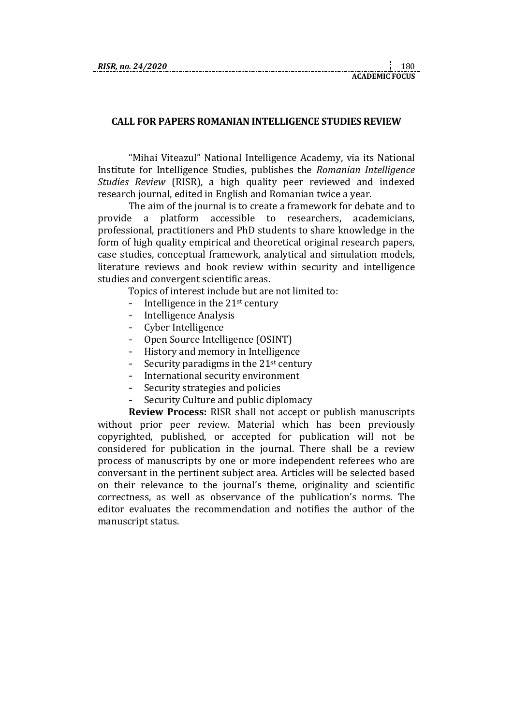## **CALL FOR PAPERS ROMANIAN INTELLIGENCE STUDIES REVIEW**

"Mihai Viteazul" National Intelligence Academy, via its National Institute for Intelligence Studies, publishes the *Romanian Intelligence Studies Review* (RISR), a high quality peer reviewed and indexed research journal, edited in English and Romanian twice a year.

The aim of the journal is to create a framework for debate and to provide a platform accessible to researchers, academicians, professional, practitioners and PhD students to share knowledge in the form of high quality empirical and theoretical original research papers, case studies, conceptual framework, analytical and simulation models, literature reviews and book review within security and intelligence studies and convergent scientific areas.

Topics of interest include but are not limited to:

- Intelligence in the  $21<sup>st</sup>$  century
- Intelligence Analysis
- Cyber Intelligence
- Open Source Intelligence (OSINT)
- History and memory in Intelligence
- Security paradigms in the  $21<sup>st</sup>$  century
- International security environment
- Security strategies and policies
- Security Culture and public diplomacy

**Review Process:** RISR shall not accept or publish manuscripts without prior peer review. Material which has been previously copyrighted, published, or accepted for publication will not be considered for publication in the journal. There shall be a review process of manuscripts by one or more independent referees who are conversant in the pertinent subject area. Articles will be selected based on their relevance to the journal's theme, originality and scientific correctness, as well as observance of the publication's norms. The editor evaluates the recommendation and notifies the author of the manuscript status.